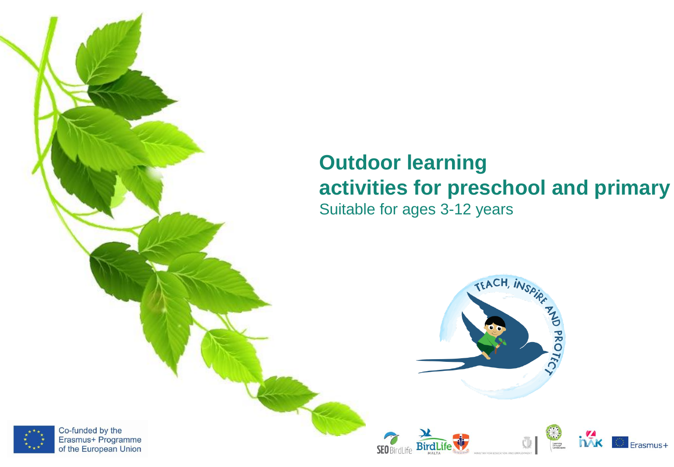# **Outdoor learning activities for preschool and primary**

Suitable for ages 3-12 years

Bir

**SEO** BirdLife





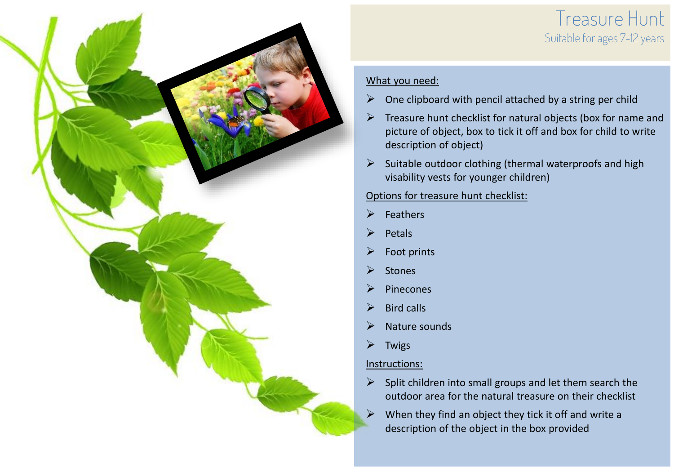### Treasure Hunt Suitable for ages 7-12 years



#### What you need:

- $\triangleright$  One clipboard with pencil attached by a string per child
- $\triangleright$  Treasure hunt checklist for natural objects (box for name and picture of object, box to tick it off and box for child to write description of object)
- $\triangleright$  Suitable outdoor clothing (thermal waterproofs and high visability vests for younger children)

#### Options for treasure hunt checklist:

- ➢ Feathers
- **Petals**
- $\triangleright$  Foot prints
- ➢ Stones
- ➢ Pinecones
- $\triangleright$  Bird calls
- ➢ Nature sounds
- ➢ Twigs

- $\triangleright$  Split children into small groups and let them search the outdoor area for the natural treasure on their checklist
- $\triangleright$  When they find an object they tick it off and write a description of the object in the box provided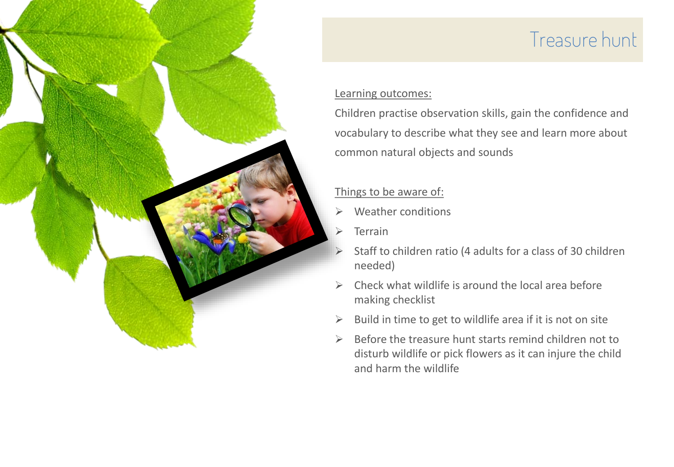# Treasure hunt

#### Learning outcomes:

Children practise observation skills, gain the confidence and vocabulary to describe what they see and learn more about common natural objects and sounds

- ➢ Weather conditions
- ➢ Terrain
- ➢ Staff to children ratio (4 adults for a class of 30 children needed)
- $\triangleright$  Check what wildlife is around the local area before making checklist
- $\triangleright$  Build in time to get to wildlife area if it is not on site
- $\triangleright$  Before the treasure hunt starts remind children not to disturb wildlife or pick flowers as it can injure the child and harm the wildlife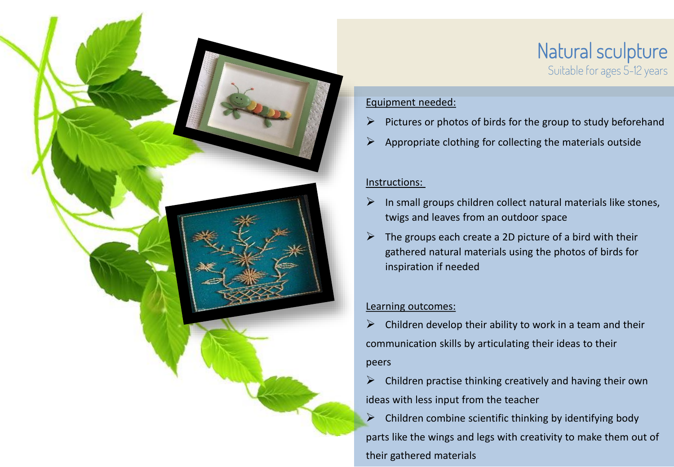

### Natural sculpture Suitable for ages 5-12 years

#### Equipment needed:

- $\triangleright$  Pictures or photos of birds for the group to study beforehand
- $\triangleright$  Appropriate clothing for collecting the materials outside

#### Instructions:

- $\triangleright$  In small groups children collect natural materials like stones, twigs and leaves from an outdoor space
- $\triangleright$  The groups each create a 2D picture of a bird with their gathered natural materials using the photos of birds for inspiration if needed

#### Learning outcomes:

 $\triangleright$  Children develop their ability to work in a team and their communication skills by articulating their ideas to their peers

➢ Children practise thinking creatively and having their own ideas with less input from the teacher

 $\triangleright$  Children combine scientific thinking by identifying body parts like the wings and legs with creativity to make them out of their gathered materials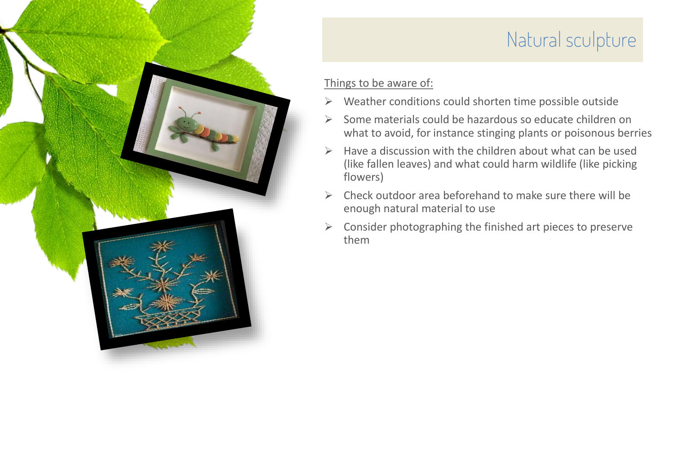## Natural sculpture

- ➢ Weather conditions could shorten time possible outside
- ➢ Some materials could be hazardous so educate children on what to avoid, for instance stinging plants or poisonous berries
- $\triangleright$  Have a discussion with the children about what can be used (like fallen leaves) and what could harm wildlife (like picking flowers)
- $\triangleright$  Check outdoor area beforehand to make sure there will be enough natural material to use
- $\triangleright$  Consider photographing the finished art pieces to preserve them

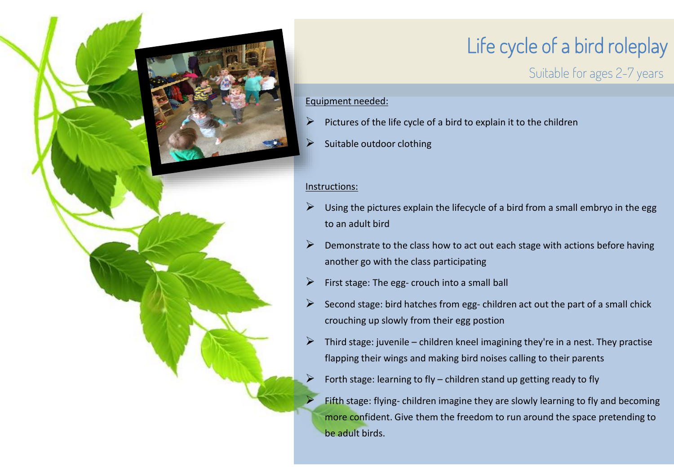

# Life cycle of a bird roleplay

Suitable for ages 2-7 years

#### Equipment needed:

- Pictures of the life cycle of a bird to explain it to the children
- Suitable outdoor clothing

#### Instructions:

- Using the pictures explain the lifecycle of a bird from a small embryo in the egg to an adult bird
- ➢ Demonstrate to the class how to act out each stage with actions before having another go with the class participating
- $\triangleright$  First stage: The egg- crouch into a small ball
- $\triangleright$  Second stage: bird hatches from egg- children act out the part of a small chick crouching up slowly from their egg postion
- $\triangleright$  Third stage: juvenile children kneel imagining they're in a nest. They practise flapping their wings and making bird noises calling to their parents
	- Forth stage: learning to fly children stand up getting ready to fly

Fifth stage: flying-children imagine they are slowly learning to fly and becoming more confident. Give them the freedom to run around the space pretending to be adult birds.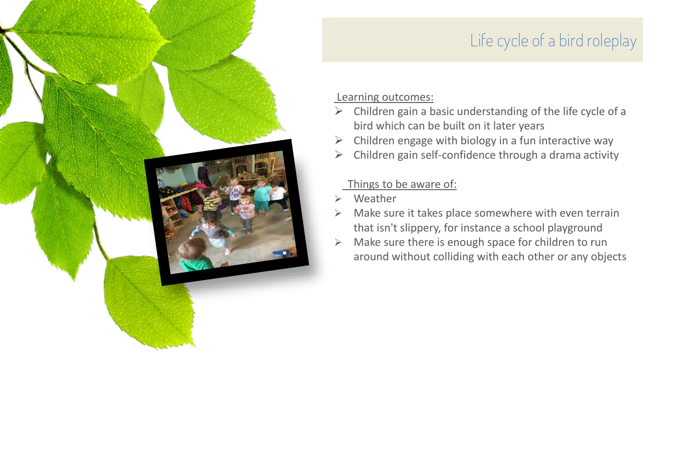### Life cycle of a bird roleplay

#### Learning outcomes:

- $\triangleright$  Children gain a basic understanding of the life cycle of a bird which can be built on it later years
- $\triangleright$  Children engage with biology in a fun interactive way
- $\triangleright$  Children gain self-confidence through a drama activity

- **Weather**
- ➢ Make sure it takes place somewhere with even terrain that isn't slippery, for instance a school playground
- ➢ Make sure there is enough space for children to run around without colliding with each other or any objects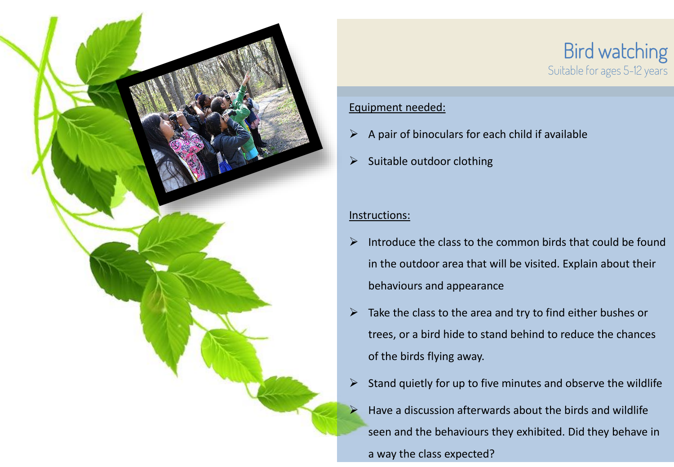

#### Equipment needed:

- $\triangleright$  A pair of binoculars for each child if available
- $\triangleright$  Suitable outdoor clothing

- $\triangleright$  Introduce the class to the common birds that could be found in the outdoor area that will be visited. Explain about their behaviours and appearance
- $\triangleright$  Take the class to the area and try to find either bushes or trees, or a bird hide to stand behind to reduce the chances of the birds flying away.
- $\triangleright$  Stand quietly for up to five minutes and observe the wildlife
- ➢ Have a discussion afterwards about the birds and wildlife seen and the behaviours they exhibited. Did they behave in a way the class expected?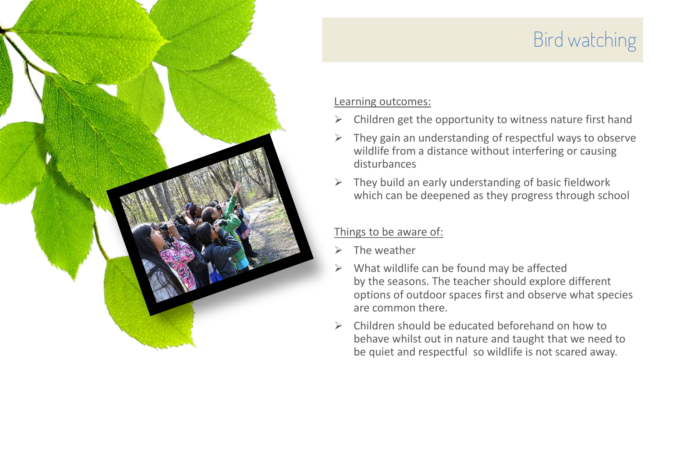

# Bird watching

#### Learning outcomes:

- $\triangleright$  Children get the opportunity to witness nature first hand
- $\triangleright$  They gain an understanding of respectful ways to observe wildlife from a distance without interfering or causing disturbances
- $\triangleright$  They build an early understanding of basic fieldwork which can be deepened as they progress through school

- $\triangleright$  The weather
- $\triangleright$  What wildlife can be found may be affected by the seasons. The teacher should explore different options of outdoor spaces first and observe what species are common there.
- $\triangleright$  Children should be educated beforehand on how to behave whilst out in nature and taught that we need to be quiet and respectful so wildlife is not scared away.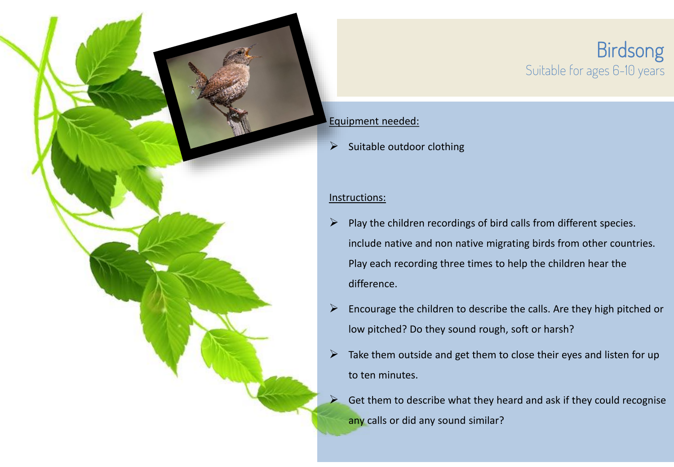### Birdsong Suitable for ages 6-10 years

#### Equipment needed:

 $\triangleright$  Suitable outdoor clothing

- $\triangleright$  Play the children recordings of bird calls from different species. include native and non native migrating birds from other countries. Play each recording three times to help the children hear the difference.
- $\triangleright$  Encourage the children to describe the calls. Are they high pitched or low pitched? Do they sound rough, soft or harsh?
- $\triangleright$  Take them outside and get them to close their eyes and listen for up to ten minutes.
- $\triangleright$  Get them to describe what they heard and ask if they could recognise any calls or did any sound similar?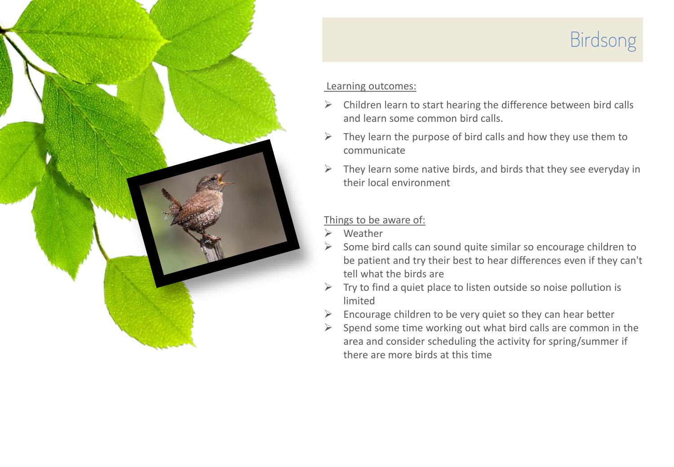

# Birdsong

#### Learning outcomes:

- $\triangleright$  Children learn to start hearing the difference between bird calls and learn some common bird calls.
- $\triangleright$  They learn the purpose of bird calls and how they use them to communicate
- $\triangleright$  They learn some native birds, and birds that they see everyday in their local environment

- ➢ Weather
- Some bird calls can sound quite similar so encourage children to be patient and try their best to hear differences even if they can't tell what the birds are
- ➢ Try to find a quiet place to listen outside so noise pollution is limited
- $\triangleright$  Encourage children to be very quiet so they can hear better
- Spend some time working out what bird calls are common in the area and consider scheduling the activity for spring/summer if there are more birds at this time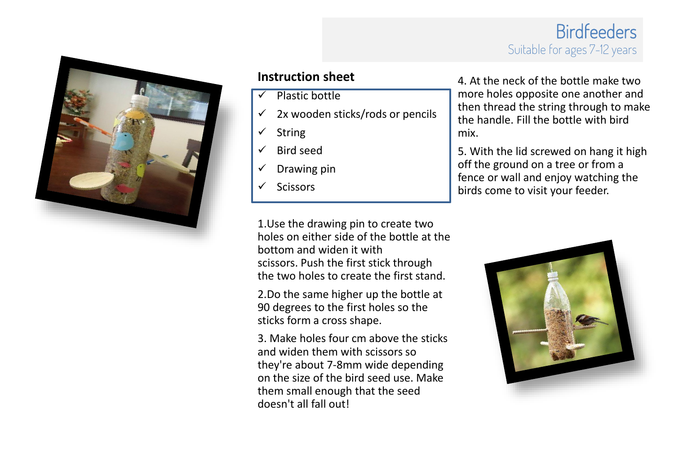### Birdfeeders Suitable for ages 7-12 years



#### **Instruction sheet**

- Plastic bottle
- $\checkmark$  2x wooden sticks/rods or pencils
- ✓ String
- ✓ Bird seed
- $\checkmark$  Drawing pin
- ✓ Scissors

1.Use the drawing pin to create two holes on either side of the bottle at the bottom and widen it with scissors. Push the first stick through the two holes to create the first stand.

2.Do the same higher up the bottle at 90 degrees to the first holes so the sticks form a cross shape.

3. Make holes four cm above the sticks and widen them with scissors so they're about 7-8mm wide depending on the size of the bird seed use. Make them small enough that the seed doesn't all fall out!

4. At the neck of the bottle make two more holes opposite one another and then thread the string through to make the handle. Fill the bottle with bird mix.

5. With the lid screwed on hang it high off the ground on a tree or from a fence or wall and enjoy watching the birds come to visit your feeder.

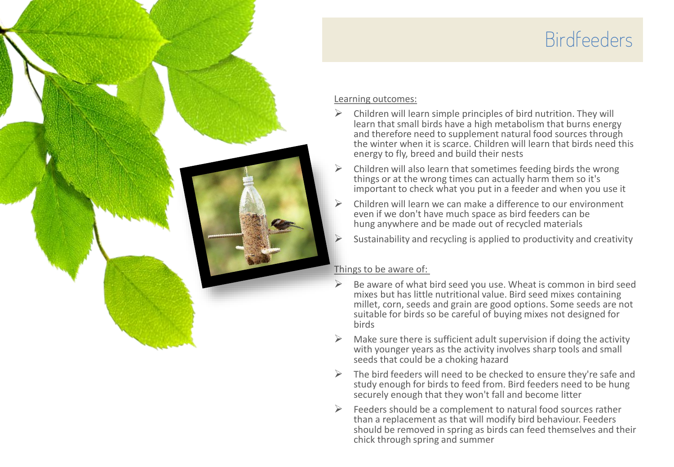## Birdfeeders



#### Learning outcomes:

- $\triangleright$  Children will learn simple principles of bird nutrition. They will learn that small birds have a high metabolism that burns energy and therefore need to supplement natural food sources through the winter when it is scarce. Children will learn that birds need this energy to fly, breed and build their nests
- ➢ Children will also learn that sometimes feeding birds the wrong things or at the wrong times can actually harm them so it's important to check what you put in a feeder and when you use it
- ➢ Children will learn we can make a difference to our environment even if we don't have much space as bird feeders can be hung anywhere and be made out of recycled materials
- ➢ Sustainability and recycling is applied to productivity and creativity

- Be aware of what bird seed you use. Wheat is common in bird seed mixes but has little nutritional value. Bird seed mixes containing millet, corn, seeds and grain are good options. Some seeds are not suitable for birds so be careful of buying mixes not designed for birds
- $\triangleright$  Make sure there is sufficient adult supervision if doing the activity with younger years as the activity involves sharp tools and small seeds that could be a choking hazard
- $\triangleright$  The bird feeders will need to be checked to ensure they're safe and study enough for birds to feed from. Bird feeders need to be hung securely enough that they won't fall and become litter
- $\triangleright$  Feeders should be a complement to natural food sources rather than a replacement as that will modify bird behaviour. Feeders should be removed in spring as birds can feed themselves and their chick through spring and summer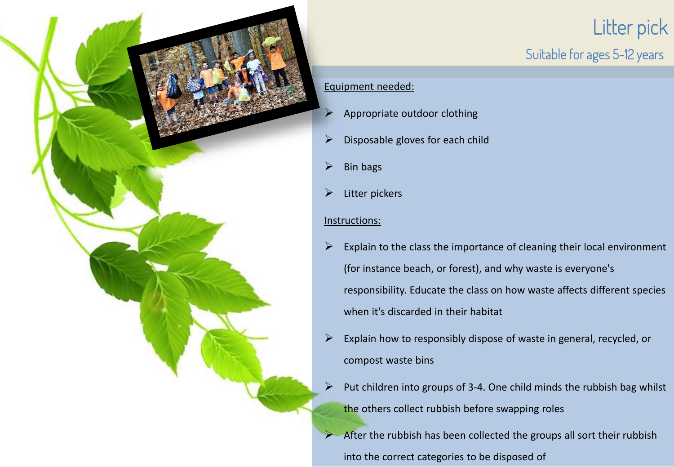

## Litter pick Suitable for ages 5-12 years

#### Equipment needed:

- $\triangleright$  Appropriate outdoor clothing
- $\triangleright$  Disposable gloves for each child
- $\triangleright$  Bin bags
- $\triangleright$  Litter pickers

- $\triangleright$  Explain to the class the importance of cleaning their local environment (for instance beach, or forest), and why waste is everyone's responsibility. Educate the class on how waste affects different species when it's discarded in their habitat
- $\triangleright$  Explain how to responsibly dispose of waste in general, recycled, or compost waste bins
- $\triangleright$  Put children into groups of 3-4. One child minds the rubbish bag whilst the others collect rubbish before swapping roles
- ➢ After the rubbish has been collected the groups all sort their rubbish into the correct categories to be disposed of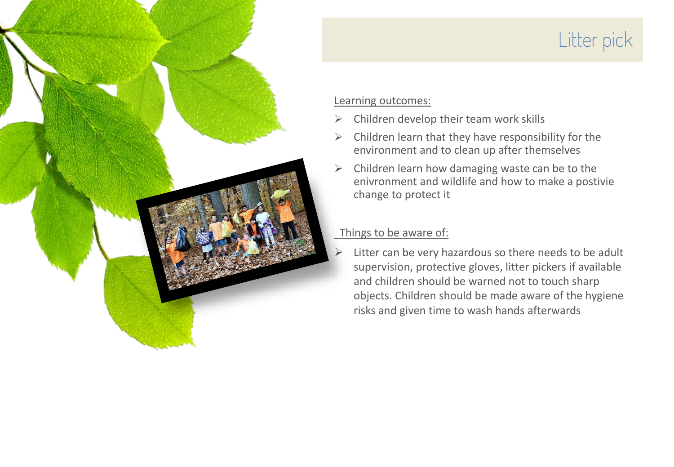

# Litter pick

#### Learning outcomes:

- $\triangleright$  Children develop their team work skills
- $\triangleright$  Children learn that they have responsibility for the environment and to clean up after themselves
- $\triangleright$  Children learn how damaging waste can be to the enivronment and wildlife and how to make a postivie change to protect it

#### Things to be aware of:

Litter can be very hazardous so there needs to be adult supervision, protective gloves, litter pickers if available and children should be warned not to touch sharp objects. Children should be made aware of the hygiene risks and given time to wash hands afterwards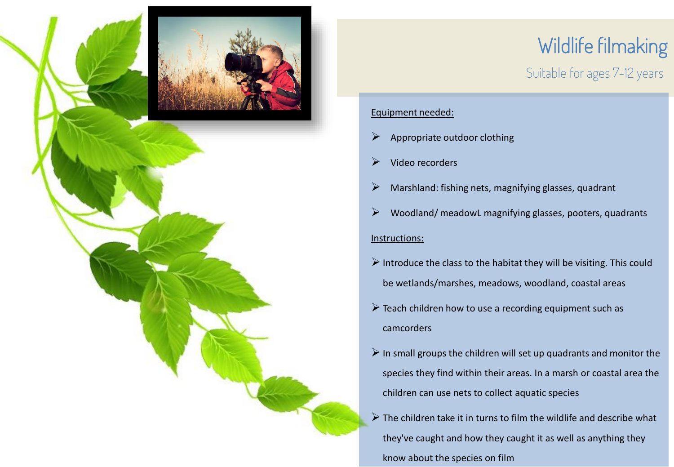

# Wildlife filmaking

### Suitable for ages 7-12 years

#### Equipment needed:

- $\triangleright$  Appropriate outdoor clothing
- $\triangleright$  Video recorders
- ➢ Marshland: fishing nets, magnifying glasses, quadrant
- $\triangleright$  Woodland/ meadowL magnifying glasses, pooters, quadrants Instructions:
- $\triangleright$  Introduce the class to the habitat they will be visiting. This could be wetlands/marshes, meadows, woodland, coastal areas
- $\triangleright$  Teach children how to use a recording equipment such as camcorders
- $\triangleright$  In small groups the children will set up quadrants and monitor the species they find within their areas. In a marsh or coastal area the children can use nets to collect aquatic species
- $\triangleright$  The children take it in turns to film the wildlife and describe what they've caught and how they caught it as well as anything they know about the species on film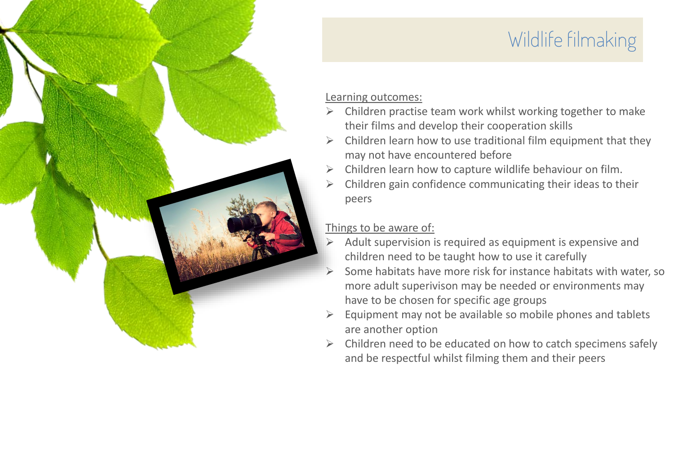# Wildlife filmaking

#### Learning outcomes:

- $\triangleright$  Children practise team work whilst working together to make their films and develop their cooperation skills
- ➢ Children learn how to use traditional film equipment that they may not have encountered before
- ➢ Children learn how to capture wildlife behaviour on film.
- ➢ Children gain confidence communicating their ideas to their peers

- $\triangleright$  Adult supervision is required as equipment is expensive and children need to be taught how to use it carefully
- $\triangleright$  Some habitats have more risk for instance habitats with water, so more adult superivison may be needed or environments may have to be chosen for specific age groups
- ➢ Equipment may not be available so mobile phones and tablets are another option
- $\triangleright$  Children need to be educated on how to catch specimens safely and be respectful whilst filming them and their peers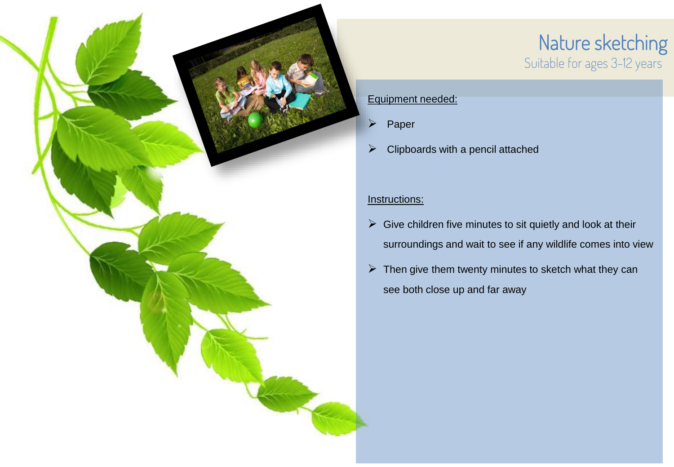

### Nature sketching Suitable for ages 3-12 years

#### Equipment needed:

- ➢ Paper
- $\triangleright$  Clipboards with a pencil attached

- $\triangleright$  Give children five minutes to sit quietly and look at their surroundings and wait to see if any wildlife comes into view
- $\triangleright$  Then give them twenty minutes to sketch what they can see both close up and far away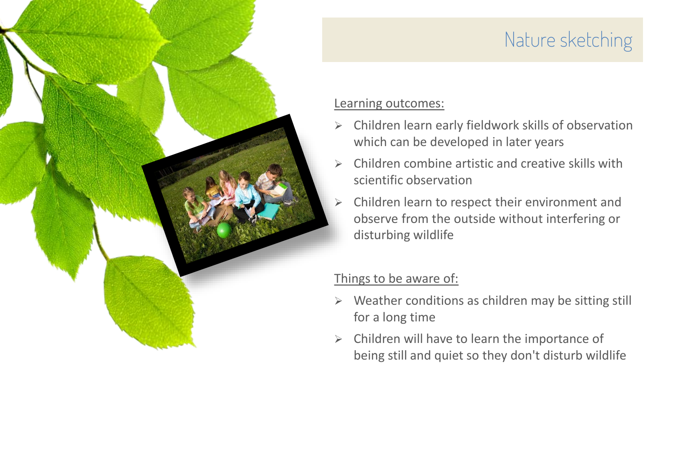# Nature sketching Learning outcomes: ➢ Children learn early fieldwork skills of observation which can be developed in later years

- $\triangleright$  Children combine artistic and creative skills with scientific observation
- ➢ Children learn to respect their environment and observe from the outside without interfering or disturbing wildlife

- ➢ Weather conditions as children may be sitting still for a long time
- $\triangleright$  Children will have to learn the importance of being still and quiet so they don't disturb wildlife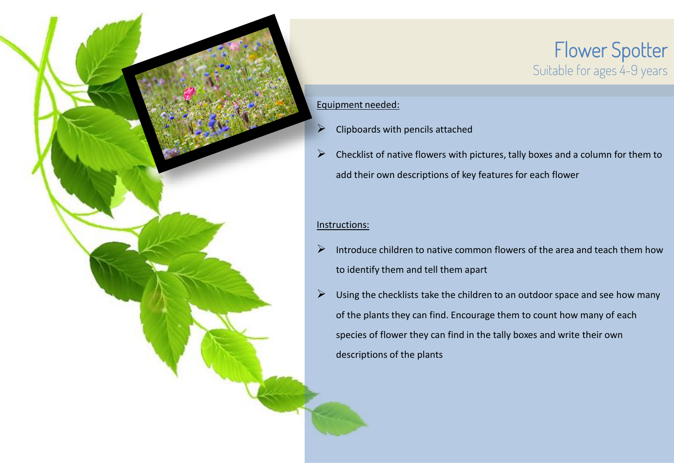

### Flower Spotter Suitable for ages 4-9 years

#### Equipment needed:

- $\triangleright$  Clipboards with pencils attached
- $\triangleright$  Checklist of native flowers with pictures, tally boxes and a column for them to add their own descriptions of key features for each flower

- $\triangleright$  Introduce children to native common flowers of the area and teach them how to identify them and tell them apart
- $\triangleright$  Using the checklists take the children to an outdoor space and see how many of the plants they can find. Encourage them to count how many of each species of flower they can find in the tally boxes and write their own descriptions of the plants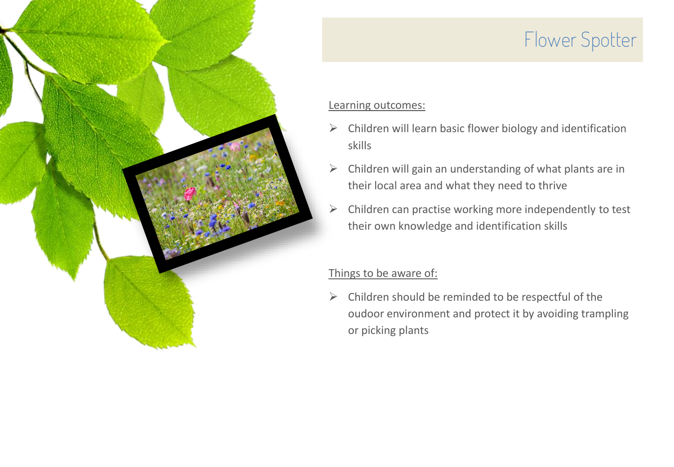

# Flower Spotter

#### Learning outcomes:

- $\triangleright$  Children will learn basic flower biology and identification skills
- $\triangleright$  Children will gain an understanding of what plants are in their local area and what they need to thrive
- $\triangleright$  Children can practise working more independently to test their own knowledge and identification skills

#### Things to be aware of:

 $\triangleright$  Children should be reminded to be respectful of the oudoor environment and protect it by avoiding trampling or picking plants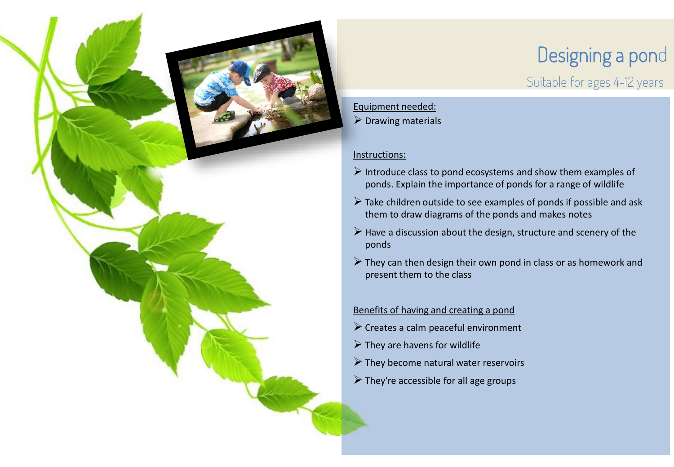

# Designing a pond

Suitable for ages 4-12 years

#### Equipment needed:

 $\triangleright$  Drawing materials

#### Instructions:

- $\triangleright$  Introduce class to pond ecosystems and show them examples of ponds. Explain the importance of ponds for a range of wildlife
- $\triangleright$  Take children outside to see examples of ponds if possible and ask them to draw diagrams of the ponds and makes notes
- $\triangleright$  Have a discussion about the design, structure and scenery of the ponds
- $\triangleright$  They can then design their own pond in class or as homework and present them to the class

#### Benefits of having and creating a pond

- $\triangleright$  Creates a calm peaceful environment
- $\triangleright$  They are havens for wildlife
- $\triangleright$  They become natural water reservoirs
- $\triangleright$  They're accessible for all age groups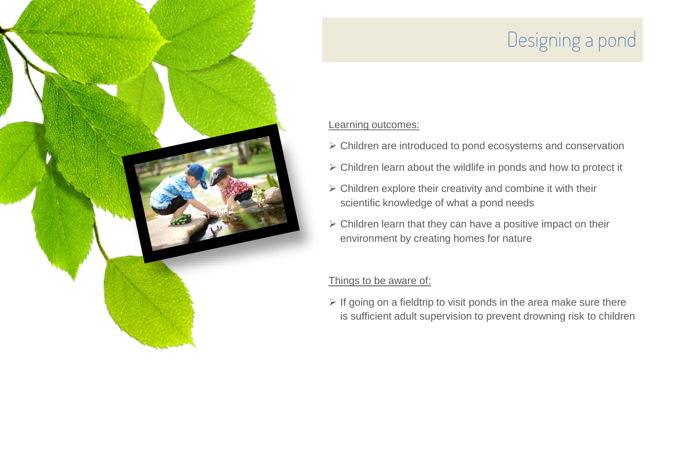# Designing a pond

#### Learning outcomes:

- ➢ Children are introduced to pond ecosystems and conservation
- ➢ Children learn about the wildlife in ponds and how to protect it
- ➢ Children explore their creativity and combine it with their scientific knowledge of what a pond needs
- $\triangleright$  Children learn that they can have a positive impact on their environment by creating homes for nature

#### Things to be aware of:

 $\triangleright$  If going on a fieldtrip to visit ponds in the area make sure there is sufficient adult supervision to prevent drowning risk to children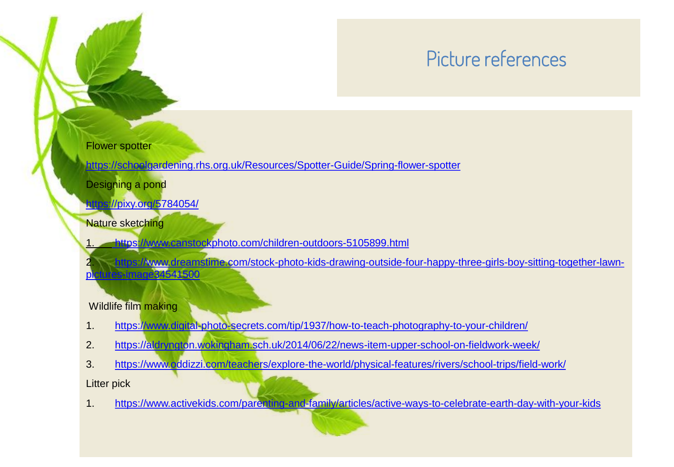# Picture references

#### Flower spotter

<https://schoolgardening.rhs.org.uk/Resources/Spotter-Guide/Spring-flower-spotter>

Designing a pond

[https://pixy.org/5784054/](https://www.canstockphoto.com/children-outdoors-5105899.html) 

Nature sketching

1. <https://www.canstockphoto.com/children-outdoors-5105899.html>

2. [https://www.dreamstime.com/stock-photo-kids-drawing-outside-four-happy-three-girls-boy-sitting-together-lawn](https://www.dreamstime.com/stock-photo-kids-drawing-outside-four-happy-three-girls-boy-sitting-together-lawn-pictures-image34541500)pictures-image34541500

#### Wildlife film making

- 1. <https://www.digital-photo-secrets.com/tip/1937/how-to-teach-photography-to-your-children/>
- 2. <https://aldryngton.wokingham.sch.uk/2014/06/22/news-item-upper-school-on-fieldwork-week/>
- 3. <https://www.oddizzi.com/teachers/explore-the-world/physical-features/rivers/school-trips/field-work/>

Litter pick

1. <https://www.activekids.com/parenting-and-family/articles/active-ways-to-celebrate-earth-day-with-your-kids>